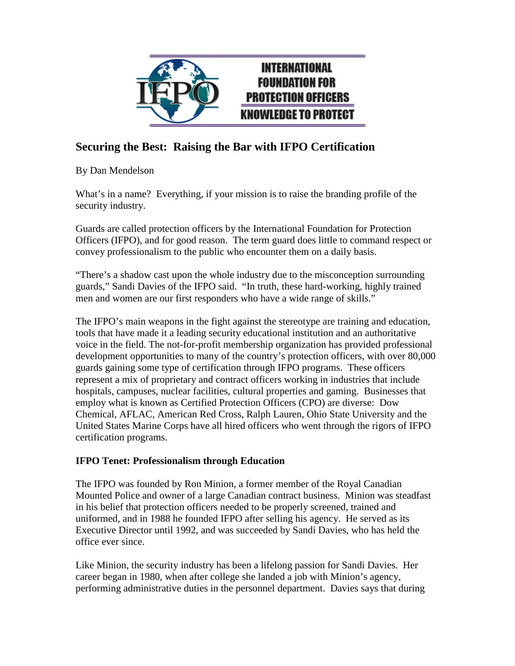

### **Securing the Best: Raising the Bar with IFPO Certification**

By Dan Mendelson

What's in a name? Everything, if your mission is to raise the branding profile of the security industry.

Guards are called protection officers by the International Foundation for Protection Officers (IFPO), and for good reason. The term guard does little to command respect or convey professionalism to the public who encounter them on a daily basis.

"There's a shadow cast upon the whole industry due to the misconception surrounding guards," Sandi Davies of the IFPO said. "In truth, these hard-working, highly trained men and women are our first responders who have a wide range of skills."

The IFPO's main weapons in the fight against the stereotype are training and education, tools that have made it a leading security educational institution and an authoritative voice in the field. The not-for-profit membership organization has provided professional development opportunities to many of the country's protection officers, with over 80,000 guards gaining some type of certification through IFPO programs. These officers represent a mix of proprietary and contract officers working in industries that include hospitals, campuses, nuclear facilities, cultural properties and gaming. Businesses that employ what is known as Certified Protection Officers (CPO) are diverse: Dow Chemical, AFLAC, American Red Cross, Ralph Lauren, Ohio State University and the United States Marine Corps have all hired officers who went through the rigors of IFPO certification programs.

### **IFPO Tenet: Professionalism through Education**

The IFPO was founded by Ron Minion, a former member of the Royal Canadian Mounted Police and owner of a large Canadian contract business. Minion was steadfast in his belief that protection officers needed to be properly screened, trained and uniformed, and in 1988 he founded IFPO after selling his agency. He served as its Executive Director until 1992, and was succeeded by Sandi Davies, who has held the office ever since.

Like Minion, the security industry has been a lifelong passion for Sandi Davies. Her career began in 1980, when after college she landed a job with Minion's agency, performing administrative duties in the personnel department. Davies says that during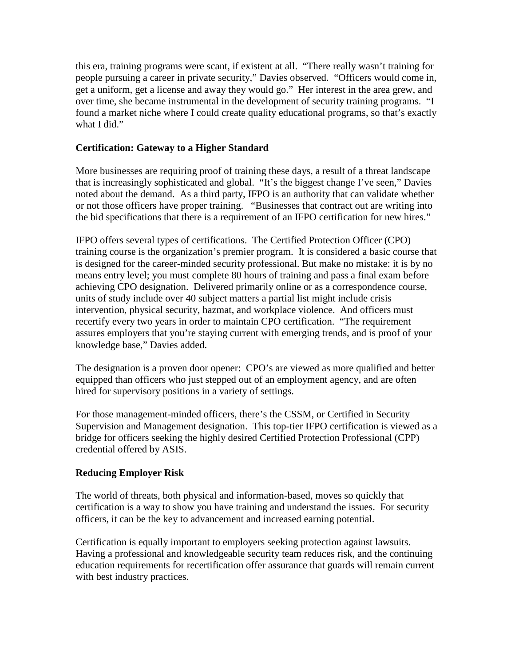this era, training programs were scant, if existent at all. "There really wasn't training for people pursuing a career in private security," Davies observed. "Officers would come in, get a uniform, get a license and away they would go." Her interest in the area grew, and over time, she became instrumental in the development of security training programs. "I found a market niche where I could create quality educational programs, so that's exactly what I did."

### **Certification: Gateway to a Higher Standard**

More businesses are requiring proof of training these days, a result of a threat landscape that is increasingly sophisticated and global. "It's the biggest change I've seen," Davies noted about the demand. As a third party, IFPO is an authority that can validate whether or not those officers have proper training. "Businesses that contract out are writing into the bid specifications that there is a requirement of an IFPO certification for new hires."

IFPO offers several types of certifications. The Certified Protection Officer (CPO) training course is the organization's premier program. It is considered a basic course that is designed for the career-minded security professional. But make no mistake: it is by no means entry level; you must complete 80 hours of training and pass a final exam before achieving CPO designation. Delivered primarily online or as a correspondence course, units of study include over 40 subject matters a partial list might include crisis intervention, physical security, hazmat, and workplace violence. And officers must recertify every two years in order to maintain CPO certification. "The requirement assures employers that you're staying current with emerging trends, and is proof of your knowledge base," Davies added.

The designation is a proven door opener: CPO's are viewed as more qualified and better equipped than officers who just stepped out of an employment agency, and are often hired for supervisory positions in a variety of settings.

For those management-minded officers, there's the CSSM, or Certified in Security Supervision and Management designation. This top-tier IFPO certification is viewed as a bridge for officers seeking the highly desired Certified Protection Professional (CPP) credential offered by ASIS.

#### **Reducing Employer Risk**

The world of threats, both physical and information-based, moves so quickly that certification is a way to show you have training and understand the issues. For security officers, it can be the key to advancement and increased earning potential.

Certification is equally important to employers seeking protection against lawsuits. Having a professional and knowledgeable security team reduces risk, and the continuing education requirements for recertification offer assurance that guards will remain current with best industry practices.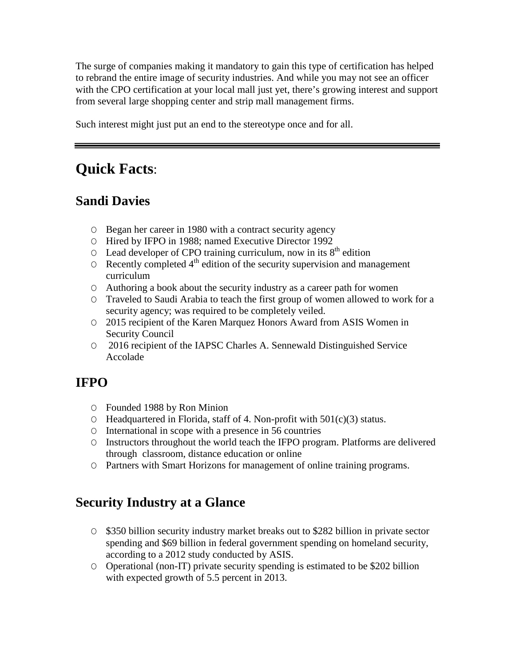The surge of companies making it mandatory to gain this type of certification has helped to rebrand the entire image of security industries. And while you may not see an officer with the CPO certification at your local mall just yet, there's growing interest and support from several large shopping center and strip mall management firms.

Such interest might just put an end to the stereotype once and for all.

# **Quick Facts**:

## **Sandi Davies**

- Ο Began her career in 1980 with a contract security agency
- Ο Hired by IFPO in 1988; named Executive Director 1992
- $O$  Lead developer of CPO training curriculum, now in its  $8<sup>th</sup>$  edition
- $\circ$  Recently completed  $4<sup>th</sup>$  edition of the security supervision and management curriculum
- Ο Authoring a book about the security industry as a career path for women
- Ο Traveled to Saudi Arabia to teach the first group of women allowed to work for a security agency; was required to be completely veiled.
- Ο 2015 recipient of the Karen Marquez Honors Award from ASIS Women in Security Council
- Ο 2016 recipient of the IAPSC Charles A. Sennewald Distinguished Service Accolade

## **IFPO**

- Ο Founded 1988 by Ron Minion
- Ο Headquartered in Florida, staff of 4. Non-profit with 501(c)(3) status.
- Ο International in scope with a presence in 56 countries
- Ο Instructors throughout the world teach the IFPO program. Platforms are delivered through classroom, distance education or online
- Ο Partners with Smart Horizons for management of online training programs.

## **Security Industry at a Glance**

- Ο \$350 billion security industry market breaks out to \$282 billion in private sector spending and \$69 billion in federal government spending on homeland security, according to a 2012 study conducted by ASIS.
- Ο Operational (non-IT) private security spending is estimated to be \$202 billion with expected growth of 5.5 percent in 2013.